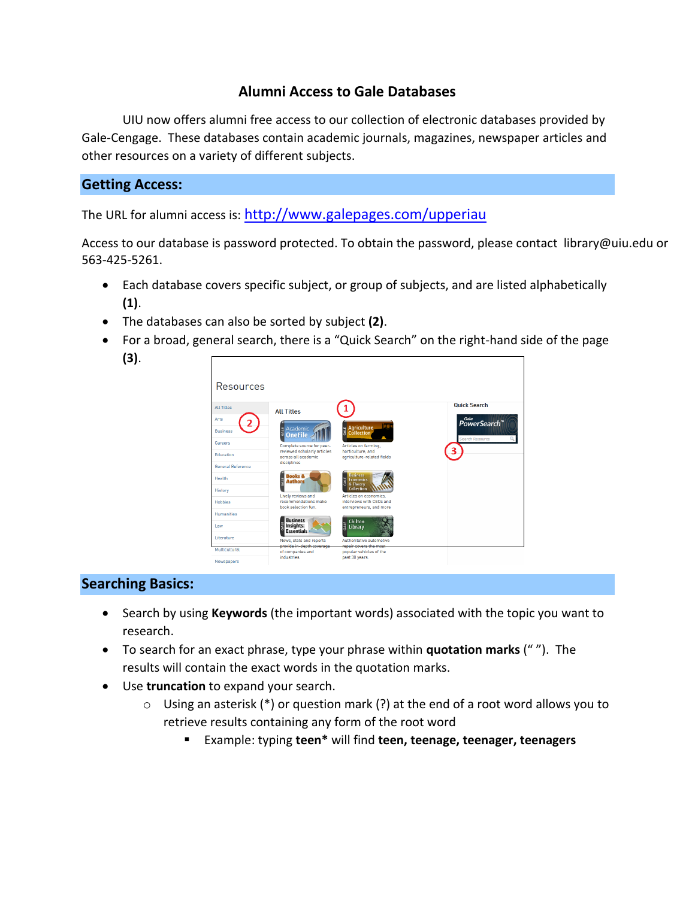# **Alumni Access to Gale Databases**

UIU now offers alumni free access to our collection of electronic databases provided by Gale-Cengage. These databases contain academic journals, magazines, newspaper articles and other resources on a variety of different subjects.

#### **Getting Access:**

The URL for alumni access is: <http://www.galepages.com/upperiau>

Access to our database is password protected. To obtain the password, please contact library@uiu.edu or 563-425-5261.

- Each database covers specific subject, or group of subjects, and are listed alphabetically **(1)**.
- The databases can also be sorted by subject **(2)**.
- For a broad, general search, there is a "Quick Search" on the right-hand side of the page **(3)**.



# **Searching Basics:**

- Search by using **Keywords** (the important words) associated with the topic you want to research.
- To search for an exact phrase, type your phrase within **quotation marks** (" "). The results will contain the exact words in the quotation marks.
- Use **truncation** to expand your search.
	- $\circ$  Using an asterisk (\*) or question mark (?) at the end of a root word allows you to retrieve results containing any form of the root word
		- Example: typing **teen\*** will find **teen, teenage, teenager, teenagers**